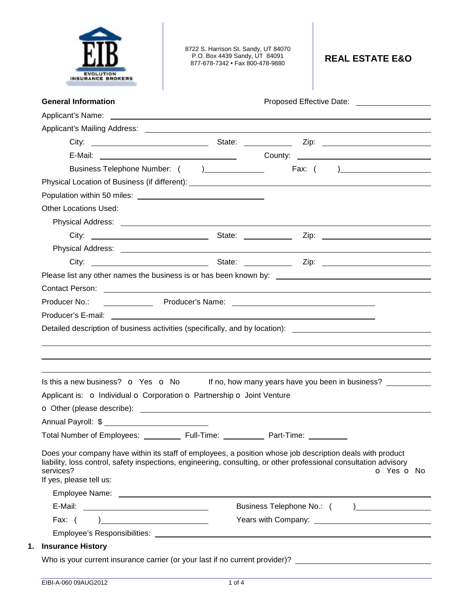

8722 S. Harrison St. Sandy, UT 84070 P.O. Box 4439 Sandy, UT 84091 877-678-7342 • Fax 800-478-9880 **REAL ESTATE E&O** 

|                                                                        |            | Business Telephone Number: ( )________________   Fax: ( )_______________________                                                                                                                                                    |
|------------------------------------------------------------------------|------------|-------------------------------------------------------------------------------------------------------------------------------------------------------------------------------------------------------------------------------------|
|                                                                        |            | Physical Location of Business (if different): ___________________________________                                                                                                                                                   |
|                                                                        |            |                                                                                                                                                                                                                                     |
| <b>Other Locations Used:</b>                                           |            |                                                                                                                                                                                                                                     |
|                                                                        |            |                                                                                                                                                                                                                                     |
|                                                                        |            |                                                                                                                                                                                                                                     |
|                                                                        |            |                                                                                                                                                                                                                                     |
|                                                                        |            |                                                                                                                                                                                                                                     |
|                                                                        |            |                                                                                                                                                                                                                                     |
|                                                                        |            | Contact Person: 2008 Contact Person:                                                                                                                                                                                                |
|                                                                        |            |                                                                                                                                                                                                                                     |
|                                                                        |            |                                                                                                                                                                                                                                     |
| Producer No.:                                                          |            |                                                                                                                                                                                                                                     |
|                                                                        |            |                                                                                                                                                                                                                                     |
|                                                                        |            |                                                                                                                                                                                                                                     |
| Applicant is: o Individual o Corporation o Partnership o Joint Venture |            |                                                                                                                                                                                                                                     |
|                                                                        |            |                                                                                                                                                                                                                                     |
| Annual Payroll: \$                                                     |            |                                                                                                                                                                                                                                     |
| Total Number of Employees: _________                                   | Full-Time: | Part-Time:                                                                                                                                                                                                                          |
| services?<br>If yes, please tell us:                                   |            | Does your company have within its staff of employees, a position whose job description deals with product<br>liability, loss control, safety inspections, engineering, consulting, or other professional consultation advisory      |
|                                                                        |            |                                                                                                                                                                                                                                     |
|                                                                        |            |                                                                                                                                                                                                                                     |
|                                                                        |            |                                                                                                                                                                                                                                     |
|                                                                        |            | Detailed description of business activities (specifically, and by location): _________________________________<br>Is this a new business? $\bullet$ Yes $\bullet$ No If no, how many years have you been in business?<br>O Yes O No |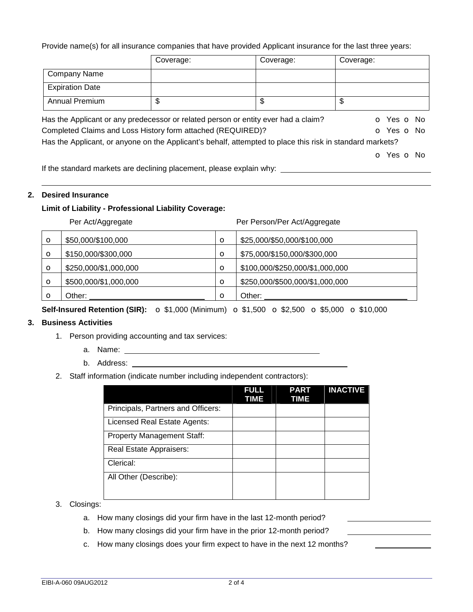Provide name(s) for all insurance companies that have provided Applicant insurance for the last three years:

|                                                                                                           | Coverage: | Coverage: | Coverage: |            |
|-----------------------------------------------------------------------------------------------------------|-----------|-----------|-----------|------------|
| <b>Company Name</b>                                                                                       |           |           |           |            |
| <b>Expiration Date</b>                                                                                    |           |           |           |            |
| <b>Annual Premium</b>                                                                                     | \$        | \$        | \$        |            |
| Has the Applicant or any predecessor or related person or entity ever had a claim?                        |           |           |           | O Yes O No |
| Completed Claims and Loss History form attached (REQUIRED)?                                               |           |           |           | O Yes O No |
| Has the Applicant, or anyone on the Applicant's behalf, attempted to place this risk in standard markets? |           |           |           |            |
|                                                                                                           |           |           |           | O Yes O No |

If the standard markets are declining placement, please explain why:

## **2. Desired Insurance**

## **Limit of Liability - Professional Liability Coverage:**

Per Act/Aggregate **Per Act/Aggregate** Per Person/Per Act/Aggregate

| O | \$50,000/\$100,000    | $\circ$  | \$25,000/\$50,000/\$100,000     |
|---|-----------------------|----------|---------------------------------|
| O | \$150,000/\$300,000   | $\circ$  | \$75,000/\$150,000/\$300,000    |
| O | \$250,000/\$1,000,000 | $\circ$  | \$100,000/\$250,000/\$1,000,000 |
| O | \$500,000/\$1,000,000 | O        | \$250,000/\$500,000/\$1,000,000 |
|   | Other:                | $\Omega$ | Other:                          |

**Self-Insured Retention (SIR):** o \$1,000 (Minimum) o \$1,500 o \$2,500 o \$5,000 o \$10,000

## **3. Business Activities**

- 1. Person providing accounting and tax services:
	- a. Name:
	- b. Address:
- 2. Staff information (indicate number including independent contractors):

|                                    | <b>FULL</b><br>TIME | <b>PART</b><br>TIME | <b>INACTIVE</b> |
|------------------------------------|---------------------|---------------------|-----------------|
| Principals, Partners and Officers: |                     |                     |                 |
| Licensed Real Estate Agents:       |                     |                     |                 |
| <b>Property Management Staff:</b>  |                     |                     |                 |
| Real Estate Appraisers:            |                     |                     |                 |
| Clerical:                          |                     |                     |                 |
| All Other (Describe):              |                     |                     |                 |
|                                    |                     |                     |                 |

- 3. Closings:
	- a. How many closings did your firm have in the last 12-month period?
	- b. How many closings did your firm have in the prior 12-month period?
	- c. How many closings does your firm expect to have in the next 12 months?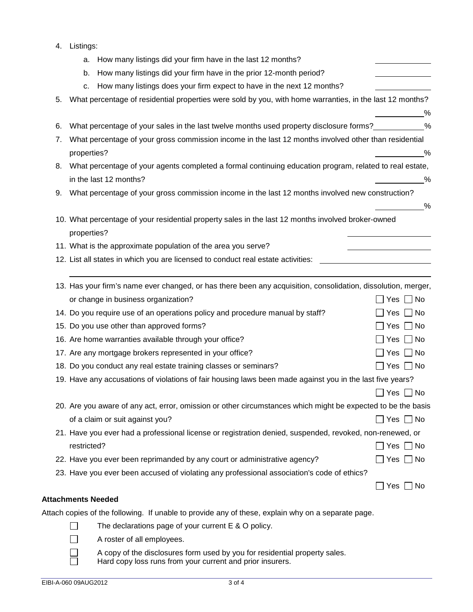| 4. | Listings: |
|----|-----------|
|    |           |

|    | How many listings did your firm have in the last 12 months?<br>a.                                                                       |                      |
|----|-----------------------------------------------------------------------------------------------------------------------------------------|----------------------|
|    | How many listings did your firm have in the prior 12-month period?<br>b.                                                                |                      |
|    | How many listings does your firm expect to have in the next 12 months?<br>c.                                                            |                      |
| 5. | What percentage of residential properties were sold by you, with home warranties, in the last 12 months?                                |                      |
|    |                                                                                                                                         | %                    |
| 6. | What percentage of your sales in the last twelve months used property disclosure forms?____________%                                    |                      |
| 7. | What percentage of your gross commission income in the last 12 months involved other than residential<br>properties?                    | %                    |
| 8. | What percentage of your agents completed a formal continuing education program, related to real estate,<br>in the last 12 months?       | %                    |
| 9. | What percentage of your gross commission income in the last 12 months involved new construction?                                        |                      |
|    | 10. What percentage of your residential property sales in the last 12 months involved broker-owned<br>properties?                       | $\frac{9}{6}$        |
|    | 11. What is the approximate population of the area you serve?                                                                           |                      |
|    | 12. List all states in which you are licensed to conduct real estate activities:                                                        |                      |
|    | 13. Has your firm's name ever changed, or has there been any acquisition, consolidation, dissolution, merger,                           |                      |
|    | or change in business organization?                                                                                                     | $\Box$ Yes $\Box$ No |
|    | 14. Do you require use of an operations policy and procedure manual by staff?                                                           | $\Box$ Yes $\Box$ No |
|    | 15. Do you use other than approved forms?                                                                                               | Yes    No            |
|    | 16. Are home warranties available through your office?                                                                                  | $\Box$ Yes $\Box$ No |
|    | 17. Are any mortgage brokers represented in your office?                                                                                | $\Box$ Yes $\Box$ No |
|    | 18. Do you conduct any real estate training classes or seminars?                                                                        | $\Box$ Yes $\Box$ No |
|    | 19. Have any accusations of violations of fair housing laws been made against you in the last five years?                               |                      |
|    |                                                                                                                                         | $\Box$ Yes $\Box$ No |
|    | 20. Are you aware of any act, error, omission or other circumstances which might be expected to be the basis                            |                      |
|    | of a claim or suit against you?                                                                                                         | $\Box$ Yes $\Box$ No |
|    | 21. Have you ever had a professional license or registration denied, suspended, revoked, non-renewed, or                                |                      |
|    | restricted?                                                                                                                             | Yes  No              |
|    | 22. Have you ever been reprimanded by any court or administrative agency?                                                               | $\Box$ Yes $\Box$ No |
|    | 23. Have you ever been accused of violating any professional association's code of ethics?                                              |                      |
|    |                                                                                                                                         | Yes    No            |
|    | <b>Attachments Needed</b>                                                                                                               |                      |
|    | Attach copies of the following. If unable to provide any of these, explain why on a separate page.                                      |                      |
|    | The declarations page of your current E & O policy.                                                                                     |                      |
|    | A roster of all employees.                                                                                                              |                      |
|    | A copy of the disclosures form used by you for residential property sales.<br>Hard copy loss runs from your current and prior insurers. |                      |